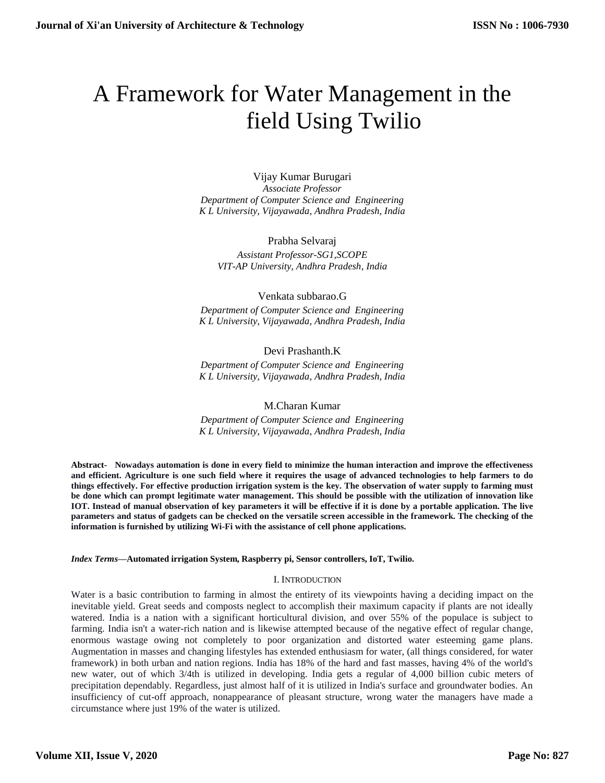# A Framework for Water Management in the field Using Twilio

Vijay Kumar Burugari *Associate Professor Department of Computer Science and Engineering K L University, Vijayawada, Andhra Pradesh, India*

Prabha Selvaraj *Assistant Professor-SG1,SCOPE VIT-AP University, Andhra Pradesh, India*

## Venkata subbarao.G

*Department of Computer Science and Engineering K L University, Vijayawada, Andhra Pradesh, India*

# Devi Prashanth.K

*Department of Computer Science and Engineering K L University, Vijayawada, Andhra Pradesh, India*

#### M.Charan Kumar

*Department of Computer Science and Engineering K L University, Vijayawada, Andhra Pradesh, India*

**Abstract- Nowadays automation is done in every field to minimize the human interaction and improve the effectiveness and efficient. Agriculture is one such field where it requires the usage of advanced technologies to help farmers to do things effectively. For effective production irrigation system is the key. The observation of water supply to farming must be done which can prompt legitimate water management. This should be possible with the utilization of innovation like IOT. Instead of manual observation of key parameters it will be effective if it is done by a portable application. The live parameters and status of gadgets can be checked on the versatile screen accessible in the framework. The checking of the information is furnished by utilizing Wi-Fi with the assistance of cell phone applications.**

#### *Index Terms***—Automated irrigation System, Raspberry pi, Sensor controllers, IoT, Twilio.**

#### I. INTRODUCTION

Water is a basic contribution to farming in almost the entirety of its viewpoints having a deciding impact on the inevitable yield. Great seeds and composts neglect to accomplish their maximum capacity if plants are not ideally watered. India is a nation with a significant horticultural division, and over 55% of the populace is subject to farming. India isn't a water-rich nation and is likewise attempted because of the negative effect of regular change, enormous wastage owing not completely to poor organization and distorted water esteeming game plans. Augmentation in masses and changing lifestyles has extended enthusiasm for water, (all things considered, for water framework) in both urban and nation regions. India has 18% of the hard and fast masses, having 4% of the world's new water, out of which 3/4th is utilized in developing. India gets a regular of 4,000 billion cubic meters of precipitation dependably. Regardless, just almost half of it is utilized in India's surface and groundwater bodies. An insufficiency of cut-off approach, nonappearance of pleasant structure, wrong water the managers have made a circumstance where just 19% of the water is utilized.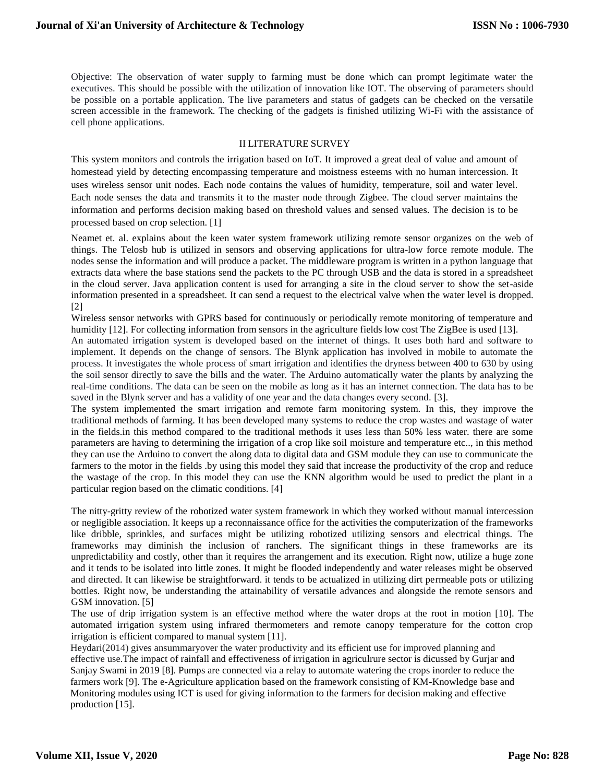Objective: The observation of water supply to farming must be done which can prompt legitimate water the executives. This should be possible with the utilization of innovation like IOT. The observing of parameters should be possible on a portable application. The live parameters and status of gadgets can be checked on the versatile screen accessible in the framework. The checking of the gadgets is finished utilizing Wi-Fi with the assistance of cell phone applications.

### II LITERATURE SURVEY

This system monitors and controls the irrigation based on IoT. It improved a great deal of value and amount of homestead yield by detecting encompassing temperature and moistness esteems with no human intercession. It uses wireless sensor unit nodes. Each node contains the values of humidity, temperature, soil and water level. Each node senses the data and transmits it to the master node through Zigbee. The cloud server maintains the information and performs decision making based on threshold values and sensed values. The decision is to be processed based on crop selection. [1]

Neamet et. al. explains about the keen water system framework utilizing remote sensor organizes on the web of things. The Telosb hub is utilized in sensors and observing applications for ultra-low force remote module. The nodes sense the information and will produce a packet. The middleware program is written in a python language that extracts data where the base stations send the packets to the PC through USB and the data is stored in a spreadsheet in the cloud server. Java application content is used for arranging a site in the cloud server to show the set-aside information presented in a spreadsheet. It can send a request to the electrical valve when the water level is dropped. [2]

Wireless sensor networks with GPRS based for continuously or periodically remote monitoring of temperature and humidity [12]. For collecting information from sensors in the agriculture fields low cost The ZigBee is used [13].

An automated irrigation system is developed based on the internet of things. It uses both hard and software to implement. It depends on the change of sensors. The Blynk application has involved in mobile to automate the process. It investigates the whole process of smart irrigation and identifies the dryness between 400 to 630 by using the soil sensor directly to save the bills and the water. The Arduino automatically water the plants by analyzing the real-time conditions. The data can be seen on the mobile as long as it has an internet connection. The data has to be saved in the Blynk server and has a validity of one year and the data changes every second. [3].

The system implemented the smart irrigation and remote farm monitoring system. In this, they improve the traditional methods of farming. It has been developed many systems to reduce the crop wastes and wastage of water in the fields.in this method compared to the traditional methods it uses less than 50% less water. there are some parameters are having to determining the irrigation of a crop like soil moisture and temperature etc.., in this method they can use the Arduino to convert the along data to digital data and GSM module they can use to communicate the farmers to the motor in the fields .by using this model they said that increase the productivity of the crop and reduce the wastage of the crop. In this model they can use the KNN algorithm would be used to predict the plant in a particular region based on the climatic conditions. [4]

The nitty-gritty review of the robotized water system framework in which they worked without manual intercession or negligible association. It keeps up a reconnaissance office for the activities the computerization of the frameworks like dribble, sprinkles, and surfaces might be utilizing robotized utilizing sensors and electrical things. The frameworks may diminish the inclusion of ranchers. The significant things in these frameworks are its unpredictability and costly, other than it requires the arrangement and its execution. Right now, utilize a huge zone and it tends to be isolated into little zones. It might be flooded independently and water releases might be observed and directed. It can likewise be straightforward. it tends to be actualized in utilizing dirt permeable pots or utilizing bottles. Right now, be understanding the attainability of versatile advances and alongside the remote sensors and GSM innovation. [5]

The use of drip irrigation system is an effective method where the water drops at the root in motion [10]. The automated irrigation system using infrared thermometers and remote canopy temperature for the cotton crop irrigation is efficient compared to manual system [11].

Heydari(2014) gives ansummaryover the water productivity and its efficient use for improved planning and effective use.The impact of rainfall and effectiveness of irrigation in agriculrure sector is dicussed by Gurjar and Sanjay Swami in 2019 [8]. Pumps are connected via a relay to automate watering the crops inorder to reduce the farmers work [9]. The e-Agriculture application based on the framework consisting of KM-Knowledge base and Monitoring modules using ICT is used for giving information to the farmers for decision making and effective production [15].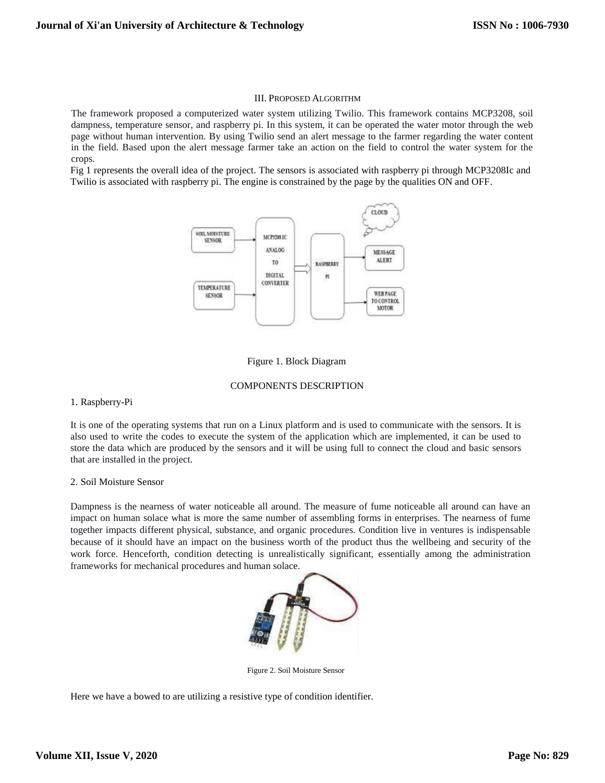#### III. PROPOSED ALGORITHM

The framework proposed a computerized water system utilizing Twilio. This framework contains MCP3208, soil dampness, temperature sensor, and raspberry pi. In this system, it can be operated the water motor through the web page without human intervention. By using Twilio send an alert message to the farmer regarding the water content in the field. Based upon the alert message farmer take an action on the field to control the water system for the crops.

Fig 1 represents the overall idea of the project. The sensors is associated with raspberry pi through MCP3208Ic and Twilio is associated with raspberry pi. The engine is constrained by the page by the qualities ON and OFF.





#### COMPONENTS DESCRIPTION

#### 1. Raspberry-Pi

It is one of the operating systems that run on a Linux platform and is used to communicate with the sensors. It is also used to write the codes to execute the system of the application which are implemented, it can be used to store the data which are produced by the sensors and it will be using full to connect the cloud and basic sensors that are installed in the project.

#### 2. Soil Moisture Sensor

Dampness is the nearness of water noticeable all around. The measure of fume noticeable all around can have an impact on human solace what is more the same number of assembling forms in enterprises. The nearness of fume together impacts different physical, substance, and organic procedures. Condition live in ventures is indispensable because of it should have an impact on the business worth of the product thus the wellbeing and security of the work force. Henceforth, condition detecting is unrealistically significant, essentially among the administration frameworks for mechanical procedures and human solace.



Figure 2. Soil Moisture Sensor

Here we have a bowed to are utilizing a resistive type of condition identifier.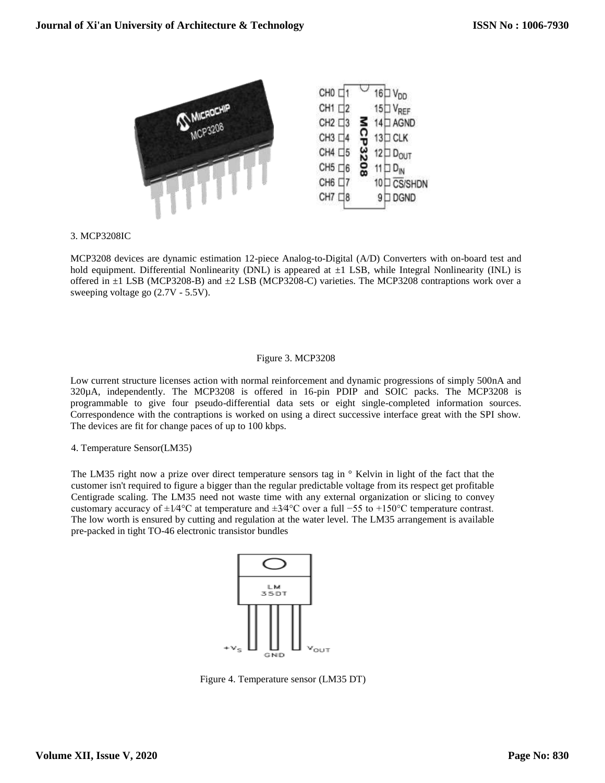

## 3. MCP3208IC

MCP3208 devices are dynamic estimation 12-piece Analog-to-Digital (A/D) Converters with on-board test and hold equipment. Differential Nonlinearity (DNL) is appeared at  $\pm 1$  LSB, while Integral Nonlinearity (INL) is offered in  $\pm 1$  LSB (MCP3208-B) and  $\pm 2$  LSB (MCP3208-C) varieties. The MCP3208 contraptions work over a sweeping voltage go (2.7V - 5.5V).

## Figure 3. MCP3208

Low current structure licenses action with normal reinforcement and dynamic progressions of simply 500nA and 320µA, independently. The MCP3208 is offered in 16-pin PDIP and SOIC packs. The MCP3208 is programmable to give four pseudo-differential data sets or eight single-completed information sources. Correspondence with the contraptions is worked on using a direct successive interface great with the SPI show. The devices are fit for change paces of up to 100 kbps.

# 4. Temperature Sensor(LM35)

The LM35 right now a prize over direct temperature sensors tag in ° Kelvin in light of the fact that the customer isn't required to figure a bigger than the regular predictable voltage from its respect get profitable Centigrade scaling. The LM35 need not waste time with any external organization or slicing to convey customary accuracy of ±1⁄4°C at temperature and ±3⁄4°C over a full −55 to +150°C temperature contrast. The low worth is ensured by cutting and regulation at the water level. The LM35 arrangement is available pre-packed in tight TO-46 electronic transistor bundles



Figure 4. Temperature sensor (LM35 DT)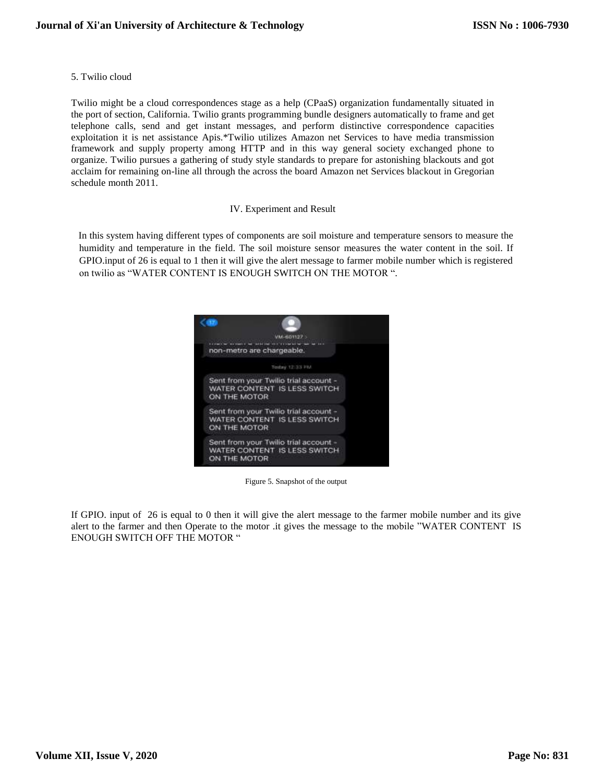5. Twilio cloud

Twilio might be a cloud correspondences stage as a help (CPaaS) organization fundamentally situated in the port of section, California. Twilio grants programming bundle designers automatically to frame and get telephone calls, send and get instant messages, and perform distinctive correspondence capacities exploitation it is net assistance Apis.\*Twilio utilizes Amazon net Services to have media transmission framework and supply property among HTTP and in this way general society exchanged phone to organize. Twilio pursues a gathering of study style standards to prepare for astonishing blackouts and got acclaim for remaining on-line all through the across the board Amazon net Services blackout in Gregorian schedule month 2011.

## IV. Experiment and Result

In this system having different types of components are soil moisture and temperature sensors to measure the humidity and temperature in the field. The soil moisture sensor measures the water content in the soil. If GPIO.input of 26 is equal to 1 then it will give the alert message to farmer mobile number which is registered on twilio as "WATER CONTENT IS ENOUGH SWITCH ON THE MOTOR ".



Figure 5. Snapshot of the output

If GPIO. input of 26 is equal to 0 then it will give the alert message to the farmer mobile number and its give alert to the farmer and then Operate to the motor .it gives the message to the mobile "WATER CONTENT IS ENOUGH SWITCH OFF THE MOTOR "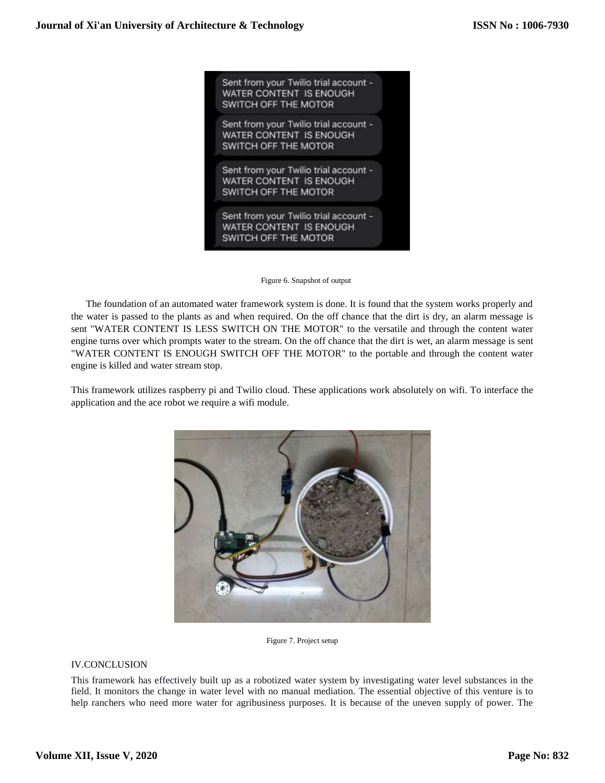

Figure 6. Snapshot of output

 The foundation of an automated water framework system is done. It is found that the system works properly and the water is passed to the plants as and when required. On the off chance that the dirt is dry, an alarm message is sent "WATER CONTENT IS LESS SWITCH ON THE MOTOR" to the versatile and through the content water engine turns over which prompts water to the stream. On the off chance that the dirt is wet, an alarm message is sent "WATER CONTENT IS ENOUGH SWITCH OFF THE MOTOR" to the portable and through the content water engine is killed and water stream stop.

This framework utilizes raspberry pi and Twilio cloud. These applications work absolutely on wifi. To interface the application and the ace robot we require a wifi module.



Figure 7. Project setup

# IV.CONCLUSION

This framework has effectively built up as a robotized water system by investigating water level substances in the field. It monitors the change in water level with no manual mediation. The essential objective of this venture is to help ranchers who need more water for agribusiness purposes. It is because of the uneven supply of power. The